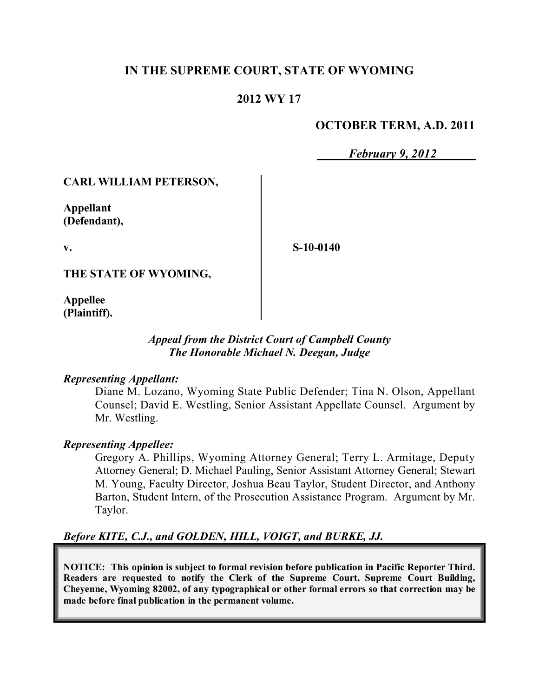## **IN THE SUPREME COURT, STATE OF WYOMING**

### **2012 WY 17**

#### **OCTOBER TERM, A.D. 2011**

*February 9, 2012*

#### **CARL WILLIAM PETERSON,**

**Appellant (Defendant),**

**v.**

**S-10-0140**

**THE STATE OF WYOMING,**

**Appellee (Plaintiff).**

#### *Appeal from the District Court of Campbell County The Honorable Michael N. Deegan, Judge*

#### *Representing Appellant:*

Diane M. Lozano, Wyoming State Public Defender; Tina N. Olson, Appellant Counsel; David E. Westling, Senior Assistant Appellate Counsel. Argument by Mr. Westling.

#### *Representing Appellee:*

Gregory A. Phillips, Wyoming Attorney General; Terry L. Armitage, Deputy Attorney General; D. Michael Pauling, Senior Assistant Attorney General; Stewart M. Young, Faculty Director, Joshua Beau Taylor, Student Director, and Anthony Barton, Student Intern, of the Prosecution Assistance Program. Argument by Mr. Taylor.

#### *Before KITE, C.J., and GOLDEN, HILL, VOIGT, and BURKE, JJ.*

**NOTICE: This opinion is subject to formal revision before publication in Pacific Reporter Third. Readers are requested to notify the Clerk of the Supreme Court, Supreme Court Building, Cheyenne, Wyoming 82002, of any typographical or other formal errors so that correction may be made before final publication in the permanent volume.**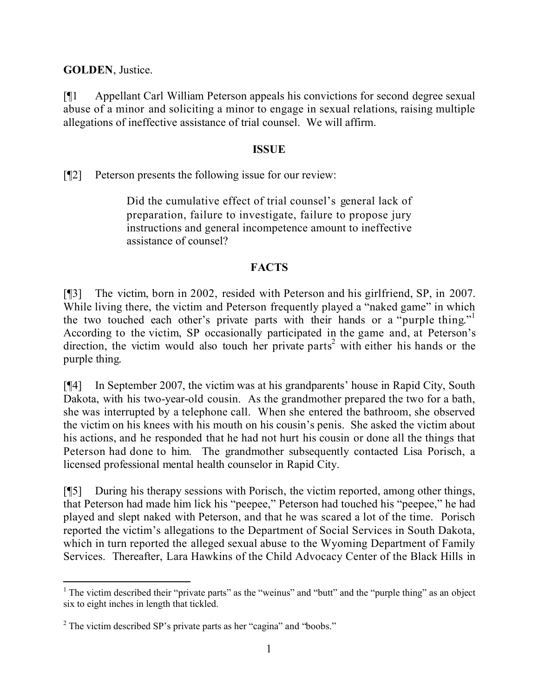**GOLDEN**, Justice.

[¶1 Appellant Carl William Peterson appeals his convictions for second degree sexual abuse of a minor and soliciting a minor to engage in sexual relations, raising multiple allegations of ineffective assistance of trial counsel. We will affirm.

### **ISSUE**

[¶2] Peterson presents the following issue for our review:

Did the cumulative effect of trial counsel's general lack of preparation, failure to investigate, failure to propose jury instructions and general incompetence amount to ineffective assistance of counsel?

## **FACTS**

[¶3] The victim, born in 2002, resided with Peterson and his girlfriend, SP, in 2007. While living there, the victim and Peterson frequently played a "naked game" in which the two touched each other's private parts with their hands or a "purple thing." 1 According to the victim, SP occasionally participated in the game and, at Peterson's direction, the victim would also touch her private parts<sup>2</sup> with either his hands or the purple thing.

[¶4] In September 2007, the victim was at his grandparents' house in Rapid City, South Dakota, with his two-year-old cousin. As the grandmother prepared the two for a bath, she was interrupted by a telephone call. When she entered the bathroom, she observed the victim on his knees with his mouth on his cousin's penis. She asked the victim about his actions, and he responded that he had not hurt his cousin or done all the things that Peterson had done to him. The grandmother subsequently contacted Lisa Porisch, a licensed professional mental health counselor in Rapid City.

[¶5] During his therapy sessions with Porisch, the victim reported, among other things, that Peterson had made him lick his "peepee," Peterson had touched his "peepee," he had played and slept naked with Peterson, and that he was scared a lot of the time. Porisch reported the victim's allegations to the Department of Social Services in South Dakota, which in turn reported the alleged sexual abuse to the Wyoming Department of Family Services. Thereafter, Lara Hawkins of the Child Advocacy Center of the Black Hills in

 <sup>1</sup> The victim described their "private parts" as the "weinus" and "butt" and the "purple thing" as an object six to eight inches in length that tickled.

<sup>2</sup> The victim described SP's private parts as her "cagina" and "boobs."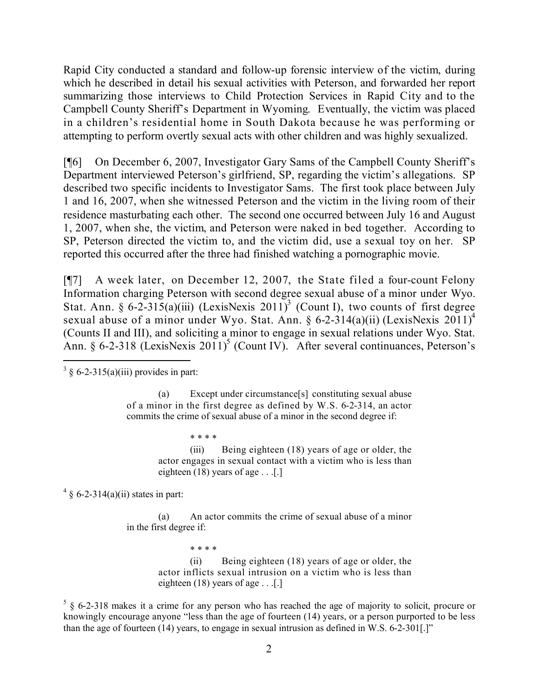Rapid City conducted a standard and follow-up forensic interview of the victim, during which he described in detail his sexual activities with Peterson, and forwarded her report summarizing those interviews to Child Protection Services in Rapid City and to the Campbell County Sheriff's Department in Wyoming. Eventually, the victim was placed in a children's residential home in South Dakota because he was performing or attempting to perform overtly sexual acts with other children and was highly sexualized.

[¶6] On December 6, 2007, Investigator Gary Sams of the Campbell County Sheriff's Department interviewed Peterson's girlfriend, SP, regarding the victim's allegations. SP described two specific incidents to Investigator Sams. The first took place between July 1 and 16, 2007, when she witnessed Peterson and the victim in the living room of their residence masturbating each other. The second one occurred between July 16 and August 1, 2007, when she, the victim, and Peterson were naked in bed together. According to SP, Peterson directed the victim to, and the victim did, use a sexual toy on her. SP reported this occurred after the three had finished watching a pornographic movie.

[¶7] A week later, on December 12, 2007, the State filed a four-count Felony Information charging Peterson with second degree sexual abuse of a minor under Wyo. Stat. Ann. § 6-2-315(a)(iii) (LexisNexis 2011)<sup>3</sup> (Count I), two counts of first degree sexual abuse of a minor under Wyo. Stat. Ann. § 6-2-314(a)(ii) (LexisNexis 2011)<sup>4</sup> (Counts II and III), and soliciting a minor to engage in sexual relations under Wyo. Stat. Ann. § 6-2-318 (LexisNexis 2011)<sup>5</sup> (Count IV). After several continuances, Peterson's

(a) Except under circumstance[s] constituting sexual abuse of a minor in the first degree as defined by W.S. 6-2-314, an actor commits the crime of sexual abuse of a minor in the second degree if:

\* \* \* \*

(iii) Being eighteen (18) years of age or older, the actor engages in sexual contact with a victim who is less than eighteen (18) years of age . . .[.]

 $4 \text{ } 6$ -2-314(a)(ii) states in part:

(a) An actor commits the crime of sexual abuse of a minor in the first degree if:

> \* \* \* \* (ii) Being eighteen (18) years of age or older, the actor inflicts sexual intrusion on a victim who is less than eighteen (18) years of age . . .[.]

 $5 \S 6$ -2-318 makes it a crime for any person who has reached the age of majority to solicit, procure or knowingly encourage anyone "less than the age of fourteen (14) years, or a person purported to be less than the age of fourteen (14) years, to engage in sexual intrusion as defined in W.S. 6-2-301[.]"

  $3 \S 6$ -2-315(a)(iii) provides in part: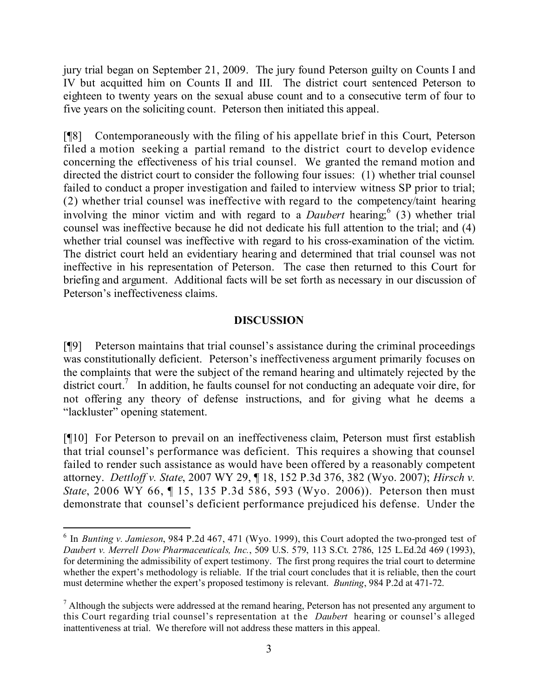jury trial began on September 21, 2009. The jury found Peterson guilty on Counts I and IV but acquitted him on Counts II and III. The district court sentenced Peterson to eighteen to twenty years on the sexual abuse count and to a consecutive term of four to five years on the soliciting count. Peterson then initiated this appeal.

[¶8] Contemporaneously with the filing of his appellate brief in this Court, Peterson filed a motion seeking a partial remand to the district court to develop evidence concerning the effectiveness of his trial counsel. We granted the remand motion and directed the district court to consider the following four issues: (1) whether trial counsel failed to conduct a proper investigation and failed to interview witness SP prior to trial; (2) whether trial counsel was ineffective with regard to the competency/taint hearing involving the minor victim and with regard to a *Daubert* hearing; 6 (3) whether trial counsel was ineffective because he did not dedicate his full attention to the trial; and (4) whether trial counsel was ineffective with regard to his cross-examination of the victim. The district court held an evidentiary hearing and determined that trial counsel was not ineffective in his representation of Peterson. The case then returned to this Court for briefing and argument. Additional facts will be set forth as necessary in our discussion of Peterson's ineffectiveness claims.

#### **DISCUSSION**

[¶9] Peterson maintains that trial counsel's assistance during the criminal proceedings was constitutionally deficient. Peterson's ineffectiveness argument primarily focuses on the complaints that were the subject of the remand hearing and ultimately rejected by the district court.<sup>7</sup> In addition, he faults counsel for not conducting an adequate voir dire, for not offering any theory of defense instructions, and for giving what he deems a "lackluster" opening statement.

[¶10] For Peterson to prevail on an ineffectiveness claim, Peterson must first establish that trial counsel's performance was deficient. This requires a showing that counsel failed to render such assistance as would have been offered by a reasonably competent attorney. *Dettloff v. State*, 2007 WY 29, ¶ 18, 152 P.3d 376, 382 (Wyo. 2007); *Hirsch v. State*, 2006 WY 66, ¶ 15, 135 P.3d 586, 593 (Wyo. 2006)). Peterson then must demonstrate that counsel's deficient performance prejudiced his defense. Under the

<sup>6</sup> In *Bunting v. Jamieson*, 984 P.2d 467, 471 (Wyo. 1999), this Court adopted the two-pronged test of *Daubert v. Merrell Dow Pharmaceuticals, Inc.*, 509 U.S. 579, 113 S.Ct. 2786, 125 L.Ed.2d 469 (1993), for determining the admissibility of expert testimony. The first prong requires the trial court to determine whether the expert's methodology is reliable. If the trial court concludes that it is reliable, then the court must determine whether the expert's proposed testimony is relevant. *Bunting*, 984 P.2d at 471-72.

 $<sup>7</sup>$  Although the subjects were addressed at the remand hearing, Peterson has not presented any argument to</sup> this Court regarding trial counsel's representation at the *Daubert* hearing or counsel's alleged inattentiveness at trial. We therefore will not address these matters in this appeal.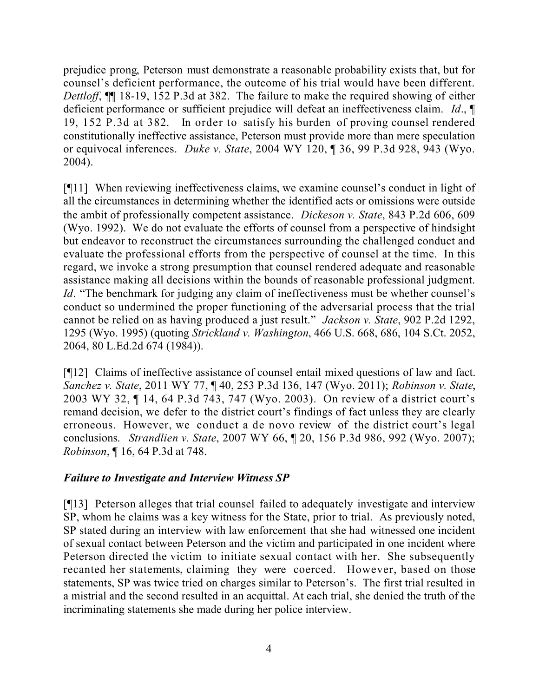prejudice prong, Peterson must demonstrate a reasonable probability exists that, but for counsel's deficient performance, the outcome of his trial would have been different. *Dettloff*, ¶¶ 18-19, 152 P.3d at 382. The failure to make the required showing of either deficient performance or sufficient prejudice will defeat an ineffectiveness claim. *Id*., ¶ 19, 152 P.3d at 382. In order to satisfy his burden of proving counsel rendered constitutionally ineffective assistance, Peterson must provide more than mere speculation or equivocal inferences. *Duke v. State*, 2004 WY 120, ¶ 36, 99 P.3d 928, 943 (Wyo. 2004).

[¶11] When reviewing ineffectiveness claims, we examine counsel's conduct in light of all the circumstances in determining whether the identified acts or omissions were outside the ambit of professionally competent assistance. *Dickeson v. State*, 843 P.2d 606, 609 (Wyo. 1992). We do not evaluate the efforts of counsel from a perspective of hindsight but endeavor to reconstruct the circumstances surrounding the challenged conduct and evaluate the professional efforts from the perspective of counsel at the time. In this regard, we invoke a strong presumption that counsel rendered adequate and reasonable assistance making all decisions within the bounds of reasonable professional judgment. *Id.* "The benchmark for judging any claim of ineffectiveness must be whether counsel's conduct so undermined the proper functioning of the adversarial process that the trial cannot be relied on as having produced a just result." *Jackson v. State*, 902 P.2d 1292, 1295 (Wyo. 1995) (quoting *Strickland v. Washington*, 466 U.S. 668, 686, 104 S.Ct. 2052, 2064, 80 L.Ed.2d 674 (1984)).

[¶12] Claims of ineffective assistance of counsel entail mixed questions of law and fact. *Sanchez v. State*, 2011 WY 77, ¶ 40, 253 P.3d 136, 147 (Wyo. 2011); *Robinson v. State*, 2003 WY 32, ¶ 14, 64 P.3d 743, 747 (Wyo. 2003). On review of a district court's remand decision, we defer to the district court's findings of fact unless they are clearly erroneous. However, we conduct a de novo review of the district court's legal conclusions. *Strandlien v. State*, 2007 WY 66, ¶ 20, 156 P.3d 986, 992 (Wyo. 2007); *Robinson*, ¶ 16, 64 P.3d at 748.

#### *Failure to Investigate and Interview Witness SP*

[¶13] Peterson alleges that trial counsel failed to adequately investigate and interview SP, whom he claims was a key witness for the State, prior to trial. As previously noted, SP stated during an interview with law enforcement that she had witnessed one incident of sexual contact between Peterson and the victim and participated in one incident where Peterson directed the victim to initiate sexual contact with her. She subsequently recanted her statements, claiming they were coerced. However, based on those statements, SP was twice tried on charges similar to Peterson's. The first trial resulted in a mistrial and the second resulted in an acquittal. At each trial, she denied the truth of the incriminating statements she made during her police interview.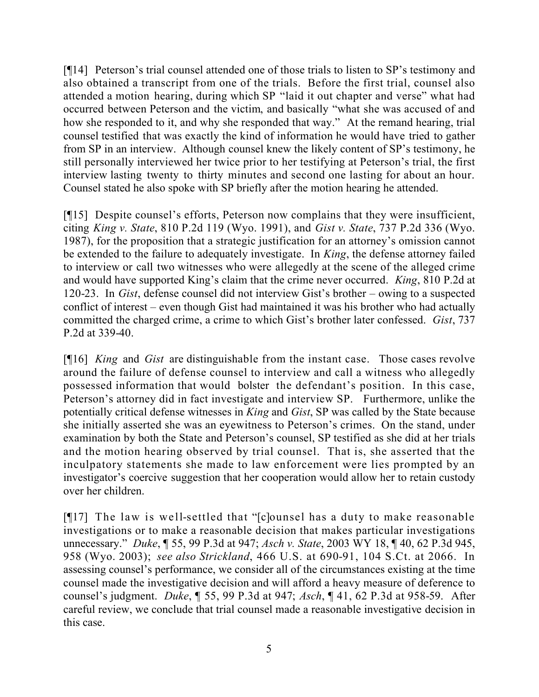[¶14] Peterson's trial counsel attended one of those trials to listen to SP's testimony and also obtained a transcript from one of the trials. Before the first trial, counsel also attended a motion hearing, during which SP "laid it out chapter and verse" what had occurred between Peterson and the victim, and basically "what she was accused of and how she responded to it, and why she responded that way." At the remand hearing, trial counsel testified that was exactly the kind of information he would have tried to gather from SP in an interview. Although counsel knew the likely content of SP's testimony, he still personally interviewed her twice prior to her testifying at Peterson's trial, the first interview lasting twenty to thirty minutes and second one lasting for about an hour. Counsel stated he also spoke with SP briefly after the motion hearing he attended.

[¶15] Despite counsel's efforts, Peterson now complains that they were insufficient, citing *King v. State*, 810 P.2d 119 (Wyo. 1991), and *Gist v. State*, 737 P.2d 336 (Wyo. 1987), for the proposition that a strategic justification for an attorney's omission cannot be extended to the failure to adequately investigate. In *King*, the defense attorney failed to interview or call two witnesses who were allegedly at the scene of the alleged crime and would have supported King's claim that the crime never occurred. *King*, 810 P.2d at 120-23. In *Gist*, defense counsel did not interview Gist's brother – owing to a suspected conflict of interest – even though Gist had maintained it was his brother who had actually committed the charged crime, a crime to which Gist's brother later confessed. *Gist*, 737 P.2d at 339-40.

[¶16] *King* and *Gist* are distinguishable from the instant case. Those cases revolve around the failure of defense counsel to interview and call a witness who allegedly possessed information that would bolster the defendant's position. In this case, Peterson's attorney did in fact investigate and interview SP. Furthermore, unlike the potentially critical defense witnesses in *King* and *Gist*, SP was called by the State because she initially asserted she was an eyewitness to Peterson's crimes. On the stand, under examination by both the State and Peterson's counsel, SP testified as she did at her trials and the motion hearing observed by trial counsel. That is, she asserted that the inculpatory statements she made to law enforcement were lies prompted by an investigator's coercive suggestion that her cooperation would allow her to retain custody over her children.

[¶17] The law is well-settled that "[c]ounsel has a duty to make reasonable investigations or to make a reasonable decision that makes particular investigations unnecessary." *Duke*, ¶ 55, 99 P.3d at 947; *Asch v. State*, 2003 WY 18, ¶ 40, 62 P.3d 945, 958 (Wyo. 2003); *see also Strickland*, 466 U.S. at 690-91, 104 S.Ct. at 2066. In assessing counsel's performance, we consider all of the circumstances existing at the time counsel made the investigative decision and will afford a heavy measure of deference to counsel's judgment. *Duke*, ¶ 55, 99 P.3d at 947; *Asch*, ¶ 41, 62 P.3d at 958-59. After careful review, we conclude that trial counsel made a reasonable investigative decision in this case.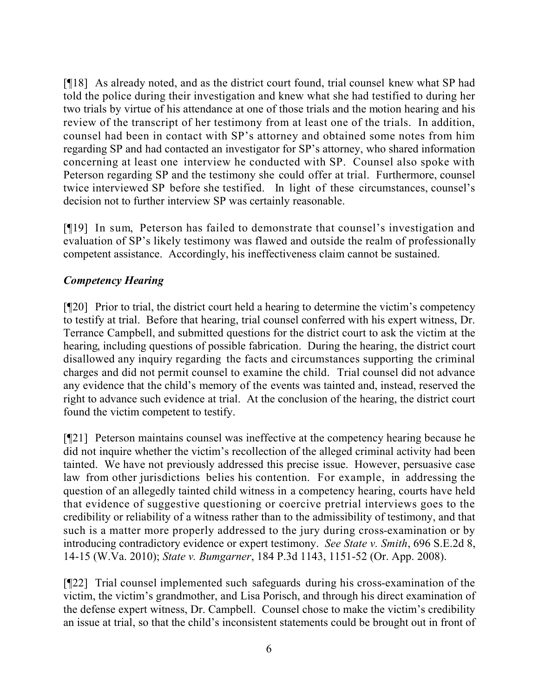[¶18] As already noted, and as the district court found, trial counsel knew what SP had told the police during their investigation and knew what she had testified to during her two trials by virtue of his attendance at one of those trials and the motion hearing and his review of the transcript of her testimony from at least one of the trials. In addition, counsel had been in contact with SP's attorney and obtained some notes from him regarding SP and had contacted an investigator for SP's attorney, who shared information concerning at least one interview he conducted with SP. Counsel also spoke with Peterson regarding SP and the testimony she could offer at trial. Furthermore, counsel twice interviewed SP before she testified. In light of these circumstances, counsel's decision not to further interview SP was certainly reasonable.

[¶19] In sum, Peterson has failed to demonstrate that counsel's investigation and evaluation of SP's likely testimony was flawed and outside the realm of professionally competent assistance. Accordingly, his ineffectiveness claim cannot be sustained.

## *Competency Hearing*

[¶20] Prior to trial, the district court held a hearing to determine the victim's competency to testify at trial. Before that hearing, trial counsel conferred with his expert witness, Dr. Terrance Campbell, and submitted questions for the district court to ask the victim at the hearing, including questions of possible fabrication. During the hearing, the district court disallowed any inquiry regarding the facts and circumstances supporting the criminal charges and did not permit counsel to examine the child. Trial counsel did not advance any evidence that the child's memory of the events was tainted and, instead, reserved the right to advance such evidence at trial. At the conclusion of the hearing, the district court found the victim competent to testify.

[¶21] Peterson maintains counsel was ineffective at the competency hearing because he did not inquire whether the victim's recollection of the alleged criminal activity had been tainted. We have not previously addressed this precise issue. However, persuasive case law from other jurisdictions belies his contention. For example, in addressing the question of an allegedly tainted child witness in a competency hearing, courts have held that evidence of suggestive questioning or coercive pretrial interviews goes to the credibility or reliability of a witness rather than to the admissibility of testimony, and that such is a matter more properly addressed to the jury during cross-examination or by introducing contradictory evidence or expert testimony. *See State v. Smith*, 696 S.E.2d 8, 14-15 (W.Va. 2010); *State v. Bumgarner*, 184 P.3d 1143, 1151-52 (Or. App. 2008).

[¶22] Trial counsel implemented such safeguards during his cross-examination of the victim, the victim's grandmother, and Lisa Porisch, and through his direct examination of the defense expert witness, Dr. Campbell. Counsel chose to make the victim's credibility an issue at trial, so that the child's inconsistent statements could be brought out in front of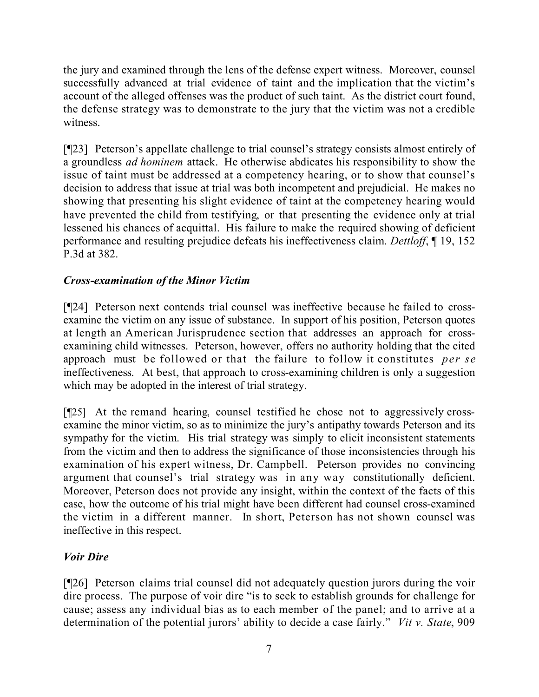the jury and examined through the lens of the defense expert witness. Moreover, counsel successfully advanced at trial evidence of taint and the implication that the victim's account of the alleged offenses was the product of such taint. As the district court found, the defense strategy was to demonstrate to the jury that the victim was not a credible witness.

[¶23] Peterson's appellate challenge to trial counsel's strategy consists almost entirely of a groundless *ad hominem* attack. He otherwise abdicates his responsibility to show the issue of taint must be addressed at a competency hearing, or to show that counsel's decision to address that issue at trial was both incompetent and prejudicial. He makes no showing that presenting his slight evidence of taint at the competency hearing would have prevented the child from testifying, or that presenting the evidence only at trial lessened his chances of acquittal. His failure to make the required showing of deficient performance and resulting prejudice defeats his ineffectiveness claim. *Dettloff*, ¶ 19, 152 P.3d at 382.

# *Cross-examination of the Minor Victim*

[¶24] Peterson next contends trial counsel was ineffective because he failed to crossexamine the victim on any issue of substance. In support of his position, Peterson quotes at length an American Jurisprudence section that addresses an approach for crossexamining child witnesses. Peterson, however, offers no authority holding that the cited approach must be followed or that the failure to follow it constitutes *per se* ineffectiveness. At best, that approach to cross-examining children is only a suggestion which may be adopted in the interest of trial strategy.

[¶25] At the remand hearing, counsel testified he chose not to aggressively crossexamine the minor victim, so as to minimize the jury's antipathy towards Peterson and its sympathy for the victim. His trial strategy was simply to elicit inconsistent statements from the victim and then to address the significance of those inconsistencies through his examination of his expert witness, Dr. Campbell. Peterson provides no convincing argument that counsel's trial strategy was in any way constitutionally deficient. Moreover, Peterson does not provide any insight, within the context of the facts of this case, how the outcome of his trial might have been different had counsel cross-examined the victim in a different manner. In short, Peterson has not shown counsel was ineffective in this respect.

## *Voir Dire*

[¶26] Peterson claims trial counsel did not adequately question jurors during the voir dire process. The purpose of voir dire "is to seek to establish grounds for challenge for cause; assess any individual bias as to each member of the panel; and to arrive at a determination of the potential jurors' ability to decide a case fairly." *Vit v. State*, 909